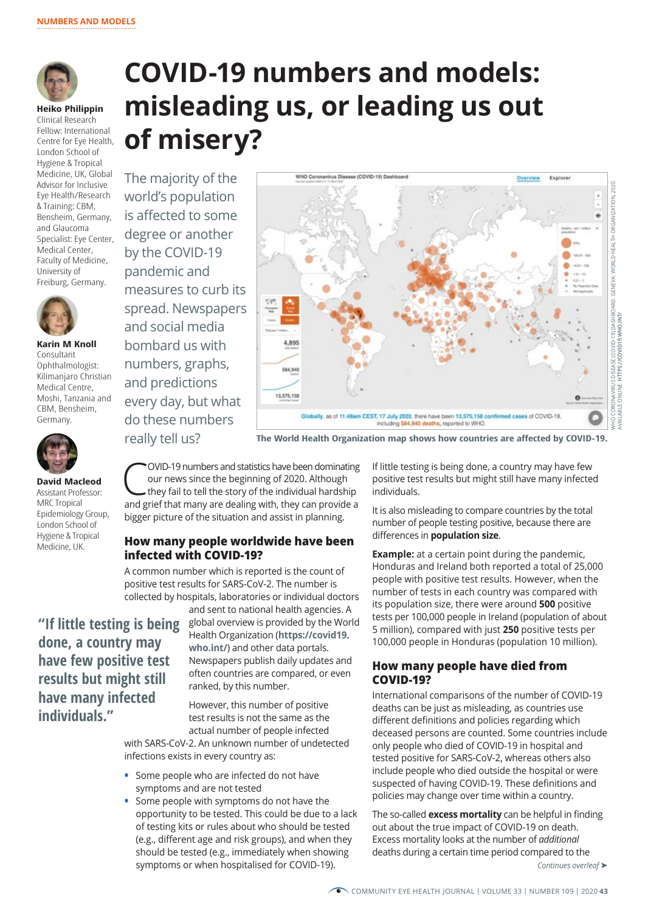

**Heiko Philippin**  Clinical Research Fellow: International Centre for Eye Health, London School of Hygiene & Tropical Advisor for Inclusive & Training: CBM,

Medicine, UK, Global Eye Health/Research Bensheim, Germany, and Glaucoma Specialist: Eye Center, Medical Center, Faculty of Medicine, University of Freiburg, Germany.



**Karin M Knoll** Consultant Ophthalmologist: Kilimanjaro Christian Medical Centre, Moshi, Tanzania and CBM, Bensheim, Germany.



**David Macleod** Assistant Professor: MRC Tropical Epidemiology Group, London School of Hygiene & Tropical Medicine, UK.

# **COVID-19 numbers and models: misleading us, or leading us out of misery?**

The majority of the world's population is affected to some degree or another by the COVID-19 pandemic and measures to curb its spread. Newspapers and social media bombard us with numbers, graphs, and predictions every day, but what do these numbers



really tell us? **The World Health Organization map shows how countries are affected by COVID-19.**

COVID-19 numbers and statistics have been dominating<br>
our news since the beginning of 2020. Although<br>
they fail to tell the story of the individual hardship<br>
and grief that manual domination with they can provide a our news since the beginning of 2020. Although and grief that many are dealing with, they can provide a bigger picture of the situation and assist in planning.

## **How many people worldwide have been infected with COVID-19?**

A common number which is reported is the count of positive test results for SARS-CoV-2. The number is collected by hospitals, laboratories or individual doctors

**"If little testing is being done, a country may have few positive test results but might still have many infected individuals."**

and sent to national health agencies. A global overview is provided by the World Health Organization (**[https://covid19.](https://covid19.who.int/) [who.int/](https://covid19.who.int/)**) and other data portals. Newspapers publish daily updates and often countries are compared, or even ranked, by this number.

However, this number of positive test results is not the same as the actual number of people infected

with SARS-CoV-2. An unknown number of undetected infections exists in every country as:

- **•** Some people who are infected do not have symptoms and are not tested
- **•** Some people with symptoms do not have the opportunity to be tested. This could be due to a lack of testing kits or rules about who should be tested (e.g., different age and risk groups), and when they should be tested (e.g., immediately when showing symptoms or when hospitalised for COVID-19).

If little testing is being done, a country may have few positive test results but might still have many infected individuals.

It is also misleading to compare countries by the total number of people testing positive, because there are differences in **population size**.

**Example:** at a certain point during the pandemic, Honduras and Ireland both reported a total of 25,000 people with positive test results. However, when the number of tests in each country was compared with its population size, there were around **500** positive tests per 100,000 people in Ireland (population of about 5 million), compared with just **250** positive tests per 100,000 people in Honduras (population 10 million).

## **How many people have died from COVID-19?**

International comparisons of the number of COVID-19 deaths can be just as misleading, as countries use different definitions and policies regarding which deceased persons are counted. Some countries include only people who died of COVID-19 in hospital and tested positive for SARS-CoV-2, whereas others also include people who died outside the hospital or were suspected of having COVID-19. These definitions and policies may change over time within a country.

The so-called **excess mortality** can be helpful in finding out about the true impact of COVID-19 on death. Excess mortality looks at the number of *additional* deaths during a certain time period compared to the *Continues overleaf* ➤

COMMUNITY EYE HEALTH JOURNAL | VOLUME 33 | NUMBER 109 | 2020 **43**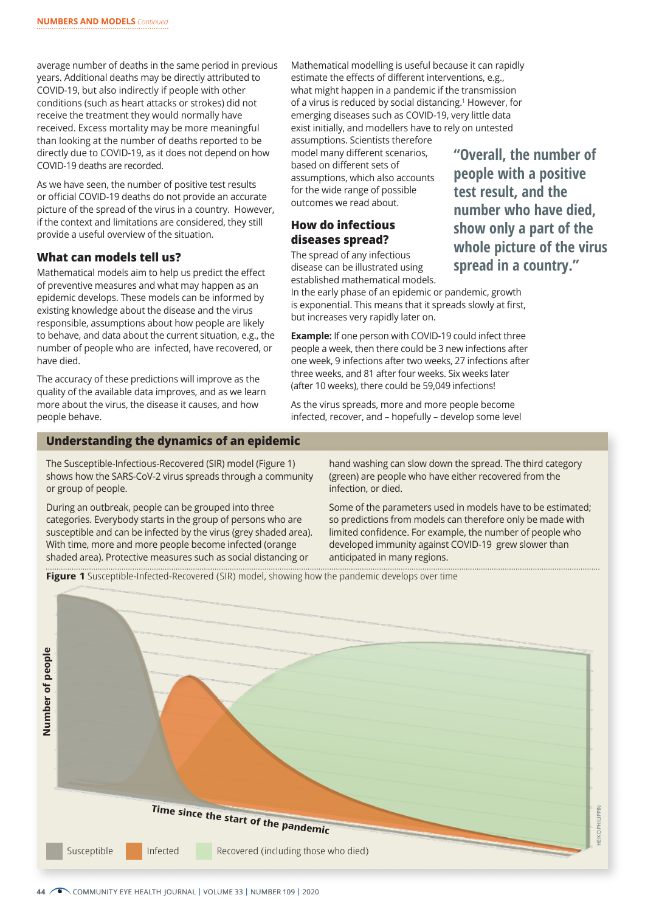average number of deaths in the same period in previous years. Additional deaths may be directly attributed to COVID-19, but also indirectly if people with other conditions (such as heart attacks or strokes) did not receive the treatment they would normally have received. Excess mortality may be more meaningful than looking at the number of deaths reported to be directly due to COVID-19, as it does not depend on how COVID-19 deaths are recorded.

As we have seen, the number of positive test results or official COVID-19 deaths do not provide an accurate picture of the spread of the virus in a country. However, if the context and limitations are considered, they still provide a useful overview of the situation.

### **What can models tell us?**

Mathematical models aim to help us predict the effect of preventive measures and what may happen as an epidemic develops. These models can be informed by existing knowledge about the disease and the virus responsible, assumptions about how people are likely to behave, and data about the current situation, e.g., the number of people who are infected, have recovered, or have died.

The accuracy of these predictions will improve as the quality of the available data improves, and as we learn more about the virus, the disease it causes, and how people behave.

Mathematical modelling is useful because it can rapidly estimate the effects of different interventions, e.g., what might happen in a pandemic if the transmission of a virus is reduced by social distancing.<sup>1</sup> However, for emerging diseases such as COVID-19, very little data exist initially, and modellers have to rely on untested assumptions. Scientists therefore

model many different scenarios, based on different sets of assumptions, which also accounts for the wide range of possible outcomes we read about.

## **How do infectious diseases spread?**

The spread of any infectious disease can be illustrated using established mathematical models. **"Overall, the number of people with a positive test result, and the number who have died, show only a part of the whole picture of the virus spread in a country."**

In the early phase of an epidemic or pandemic, growth is exponential. This means that it spreads slowly at first, but increases very rapidly later on.

**Example:** If one person with COVID-19 could infect three people a week, then there could be 3 new infections after one week, 9 infections after two weeks, 27 infections after three weeks, and 81 after four weeks. Six weeks later (after 10 weeks), there could be 59,049 infections!

As the virus spreads, more and more people become infected, recover, and – hopefully – develop some level

#### **Understanding the dynamics of an epidemic**

The Susceptible-Infectious-Recovered (SIR) model (Figure 1) shows how the SARS-CoV-2 virus spreads through a community or group of people.

During an outbreak, people can be grouped into three categories. Everybody starts in the group of persons who are susceptible and can be infected by the virus (grey shaded area). With time, more and more people become infected (orange shaded area). Protective measures such as social distancing or

hand washing can slow down the spread. The third category (green) are people who have either recovered from the infection, or died.

Some of the parameters used in models have to be estimated; so predictions from models can therefore only be made with limited confidence. For example, the number of people who developed immunity against COVID-19 grew slower than anticipated in many regions.

**Figure 1** Susceptible-Infected-Recovered (SIR) model, showing how the pandemic develops over time